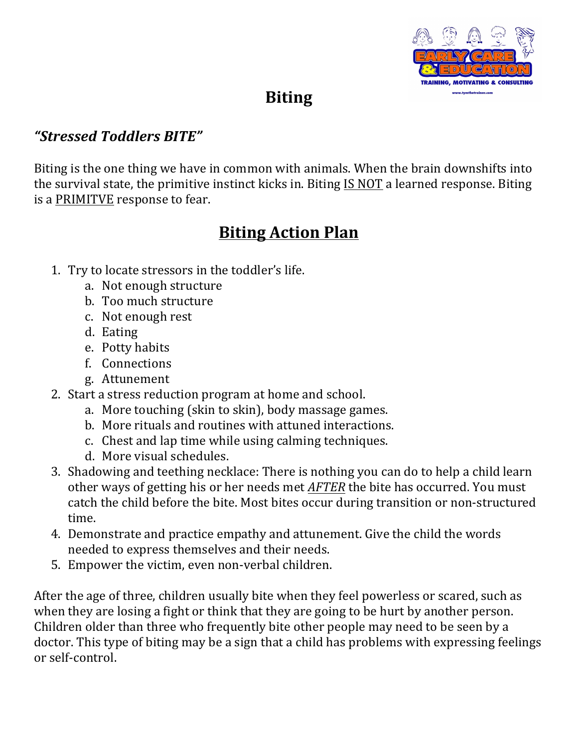

## **Biting**

## *"Stressed Toddlers BITE"*

Biting is the one thing we have in common with animals. When the brain downshifts into the survival state, the primitive instinct kicks in. Biting  $IS NOT$  a learned response. Biting is a PRIMITVE response to fear.

## **Biting Action Plan**

- 1. Try to locate stressors in the toddler's life.
	- a. Not enough structure
	- b. Too much structure
	- c. Not enough rest
	- d. Eating
	- e. Potty habits
	- f. Connections
	- g. Attunement
- 2. Start a stress reduction program at home and school.
	- a. More touching (skin to skin), body massage games.
	- b. More rituals and routines with attuned interactions.
	- c. Chest and lap time while using calming techniques.
	- d. More visual schedules.
- 3. Shadowing and teething necklace: There is nothing you can do to help a child learn other ways of getting his or her needs met *AFTER* the bite has occurred. You must catch the child before the bite. Most bites occur during transition or non-structured time.
- 4. Demonstrate and practice empathy and attunement. Give the child the words needed to express themselves and their needs.
- 5. Empower the victim, even non-verbal children.

After the age of three, children usually bite when they feel powerless or scared, such as when they are losing a fight or think that they are going to be hurt by another person. Children older than three who frequently bite other people may need to be seen by a doctor. This type of biting may be a sign that a child has problems with expressing feelings or self-control.